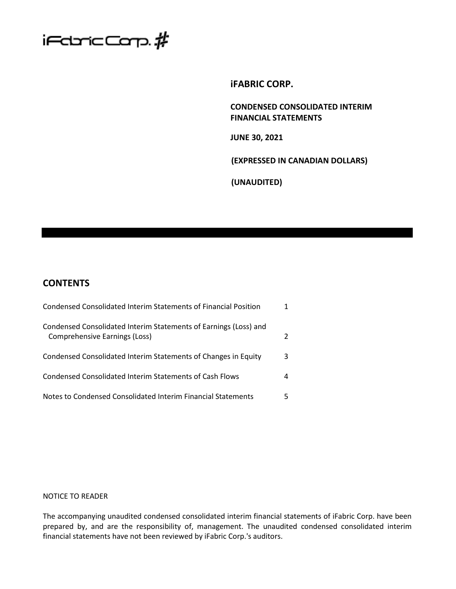

## **iFABRIC CORP.**

**CONDENSED CONSOLIDATED INTERIM FINANCIAL STATEMENTS**

**JUNE 30, 2021**

**(EXPRESSED IN CANADIAN DOLLARS)**

**(UNAUDITED)**

# **CONTENTS**

| Condensed Consolidated Interim Statements of Financial Position                                   |   |
|---------------------------------------------------------------------------------------------------|---|
| Condensed Consolidated Interim Statements of Earnings (Loss) and<br>Comprehensive Earnings (Loss) |   |
| Condensed Consolidated Interim Statements of Changes in Equity                                    | 3 |
| Condensed Consolidated Interim Statements of Cash Flows                                           |   |
| Notes to Condensed Consolidated Interim Financial Statements                                      |   |

## NOTICE TO READER

The accompanying unaudited condensed consolidated interim financial statements of iFabric Corp. have been prepared by, and are the responsibility of, management. The unaudited condensed consolidated interim financial statements have not been reviewed by iFabric Corp.'s auditors.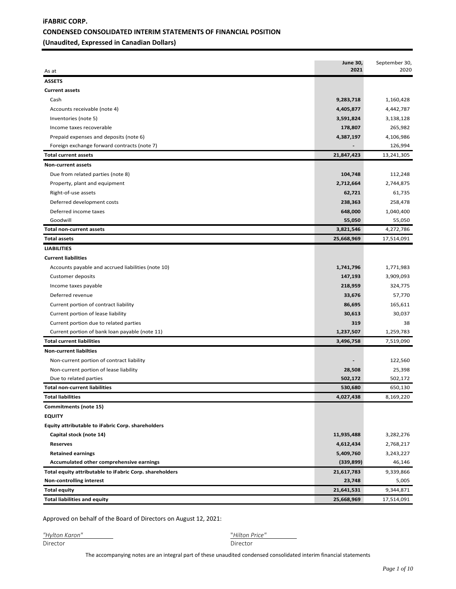## **iFABRIC CORP. CONDENSED CONSOLIDATED INTERIM STATEMENTS OF FINANCIAL POSITION (Unaudited, Expressed in Canadian Dollars)**

| As at                                                   | <b>June 30,</b><br>2021 | September 30,<br>2020 |
|---------------------------------------------------------|-------------------------|-----------------------|
| <b>ASSETS</b>                                           |                         |                       |
| <b>Current assets</b>                                   |                         |                       |
| Cash                                                    | 9,283,718               | 1,160,428             |
| Accounts receivable (note 4)                            | 4,405,877               | 4,442,787             |
| Inventories (note 5)                                    | 3,591,824               | 3,138,128             |
| Income taxes recoverable                                | 178,807                 | 265,982               |
| Prepaid expenses and deposits (note 6)                  | 4,387,197               | 4,106,986             |
| Foreign exchange forward contracts (note 7)             |                         | 126,994               |
| <b>Total current assets</b>                             | 21,847,423              | 13,241,305            |
| <b>Non-current assets</b>                               |                         |                       |
| Due from related parties (note 8)                       | 104,748                 | 112,248               |
| Property, plant and equipment                           | 2,712,664               | 2,744,875             |
| Right-of-use assets                                     | 62,721                  | 61,735                |
| Deferred development costs                              | 238,363                 | 258,478               |
| Deferred income taxes                                   | 648,000                 | 1,040,400             |
| Goodwill                                                | 55,050                  | 55,050                |
| <b>Total non-current assets</b>                         | 3,821,546               | 4,272,786             |
| <b>Total assets</b>                                     | 25,668,969              | 17,514,091            |
| <b>LIABILITIES</b>                                      |                         |                       |
| <b>Current liabilities</b>                              |                         |                       |
| Accounts payable and accrued liabilities (note 10)      | 1,741,796               | 1,771,983             |
| <b>Customer deposits</b>                                | 147,193                 | 3,909,093             |
| Income taxes payable                                    | 218,959                 | 324,775               |
| Deferred revenue                                        | 33,676                  | 57,770                |
| Current portion of contract liability                   | 86,695                  | 165,611               |
| Current portion of lease liability                      | 30,613                  | 30,037                |
| Current portion due to related parties                  | 319                     | 38                    |
| Current portion of bank loan payable (note 11)          | 1,237,507               | 1,259,783             |
| <b>Total current liabilities</b>                        | 3,496,758               | 7,519,090             |
| <b>Non-current liabilties</b>                           |                         |                       |
| Non-current portion of contract liability               |                         | 122,560               |
| Non-current portion of lease liability                  | 28,508                  | 25,398                |
| Due to related parties                                  | 502,172                 | 502,172               |
| <b>Total non-current liabilities</b>                    | 530,680                 | 650,130               |
| <b>Total liabilities</b>                                | 4,027,438               | 8,169,220             |
| Commitments (note 15)                                   |                         |                       |
| <b>EQUITY</b>                                           |                         |                       |
| Equity attributable to iFabric Corp. shareholders       |                         |                       |
| Capital stock (note 14)                                 | 11,935,488              | 3,282,276             |
| <b>Reserves</b>                                         | 4,612,434               | 2,768,217             |
| <b>Retained earnings</b>                                | 5,409,760               | 3,243,227             |
| Accumulated other comprehensive earnings                | (339, 899)              | 46,146                |
| Total equity attributable to iFabric Corp. shareholders | 21,617,783              | 9,339,866             |
| <b>Non-controlling interest</b>                         | 23,748                  | 5,005                 |
| <b>Total equity</b>                                     | 21,641,531              | 9,344,871             |
| <b>Total liabilities and equity</b>                     | 25,668,969              | 17,514,091            |

Approved on behalf of the Board of Directors on August 12, 2021:

*"Hylton Karon"* "*Hilton Price"* 

Director

The accompanying notes are an integral part of these unaudited condensed consolidated interim financial statements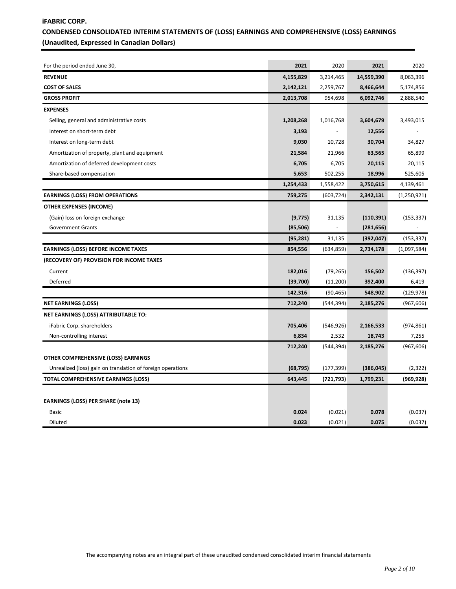## **iFABRIC CORP. CONDENSED CONSOLIDATED INTERIM STATEMENTS OF (LOSS) EARNINGS AND COMPREHENSIVE (LOSS) EARNINGS (Unaudited, Expressed in Canadian Dollars)**

| For the period ended June 30,                               | 2021      | 2020       | 2021       | 2020        |
|-------------------------------------------------------------|-----------|------------|------------|-------------|
| <b>REVENUE</b>                                              | 4,155,829 | 3,214,465  | 14,559,390 | 8,063,396   |
| <b>COST OF SALES</b>                                        | 2,142,121 | 2,259,767  | 8,466,644  | 5,174,856   |
| <b>GROSS PROFIT</b>                                         | 2,013,708 | 954,698    | 6,092,746  | 2,888,540   |
| <b>EXPENSES</b>                                             |           |            |            |             |
| Selling, general and administrative costs                   | 1,208,268 | 1,016,768  | 3,604,679  | 3,493,015   |
| Interest on short-term debt                                 | 3,193     |            | 12,556     |             |
| Interest on long-term debt                                  | 9,030     | 10,728     | 30,704     | 34,827      |
| Amortization of property, plant and equipment               | 21,584    | 21,966     | 63,565     | 65,899      |
| Amortization of deferred development costs                  | 6,705     | 6,705      | 20,115     | 20,115      |
| Share-based compensation                                    | 5,653     | 502,255    | 18,996     | 525,605     |
|                                                             | 1,254,433 | 1,558,422  | 3,750,615  | 4,139,461   |
| <b>EARNINGS (LOSS) FROM OPERATIONS</b>                      | 759,275   | (603, 724) | 2,342,131  | (1,250,921) |
| <b>OTHER EXPENSES (INCOME)</b>                              |           |            |            |             |
| (Gain) loss on foreign exchange                             | (9, 775)  | 31,135     | (110, 391) | (153, 337)  |
| <b>Government Grants</b>                                    | (85, 506) |            | (281, 656) |             |
|                                                             | (95, 281) | 31,135     | (392, 047) | (153, 337)  |
| <b>EARNINGS (LOSS) BEFORE INCOME TAXES</b>                  | 854,556   | (634, 859) | 2,734,178  | (1,097,584) |
| (RECOVERY OF) PROVISION FOR INCOME TAXES                    |           |            |            |             |
| Current                                                     | 182,016   | (79, 265)  | 156,502    | (136, 397)  |
| Deferred                                                    | (39,700)  | (11,200)   | 392,400    | 6,419       |
|                                                             | 142,316   | (90, 465)  | 548,902    | (129, 978)  |
| <b>NET EARNINGS (LOSS)</b>                                  | 712,240   | (544, 394) | 2,185,276  | (967, 606)  |
| NET EARNINGS (LOSS) ATTRIBUTABLE TO:                        |           |            |            |             |
| iFabric Corp. shareholders                                  | 705,406   | (546, 926) | 2,166,533  | (974, 861)  |
| Non-controlling interest                                    | 6,834     | 2,532      | 18,743     | 7,255       |
|                                                             | 712,240   | (544, 394) | 2,185,276  | (967, 606)  |
| OTHER COMPREHENSIVE (LOSS) EARNINGS                         |           |            |            |             |
| Unrealized (loss) gain on translation of foreign operations | (68, 795) | (177, 399) | (386, 045) | (2,322)     |
| <b>TOTAL COMPREHENSIVE EARNINGS (LOSS)</b>                  | 643,445   | (721, 793) | 1,799,231  | (969, 928)  |
|                                                             |           |            |            |             |
| <b>EARNINGS (LOSS) PER SHARE (note 13)</b>                  |           |            |            |             |
| <b>Basic</b>                                                | 0.024     | (0.021)    | 0.078      | (0.037)     |
| Diluted                                                     | 0.023     | (0.021)    | 0.075      | (0.037)     |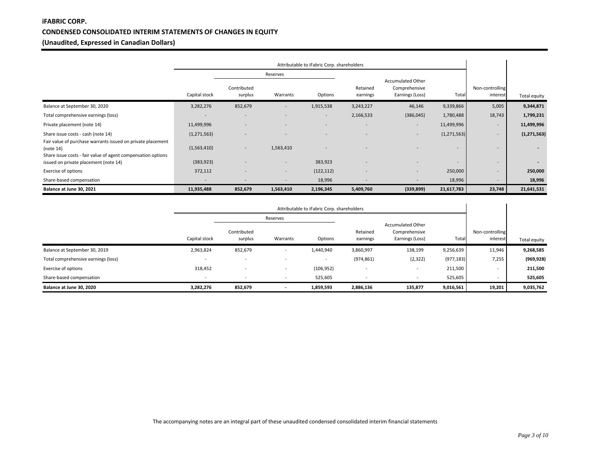## **iFABRIC CORP. CONDENSED CONSOLIDATED INTERIM STATEMENTS OF CHANGES IN EQUITY (Unaudited, Expressed in Canadian Dollars)**

|                                                                                                                                          | Attributable to iFabric Corp. shareholders |                          |           |            |                      |                                                              |                          |                             |              |
|------------------------------------------------------------------------------------------------------------------------------------------|--------------------------------------------|--------------------------|-----------|------------|----------------------|--------------------------------------------------------------|--------------------------|-----------------------------|--------------|
|                                                                                                                                          |                                            |                          | Reserves  |            |                      |                                                              |                          |                             |              |
|                                                                                                                                          | Capital stock                              | Contributed<br>surplus   | Warrants  | Options    | Retained<br>earnings | <b>Accumulated Other</b><br>Comprehensive<br>Earnings (Loss) | Total                    | Non-controlling<br>interest | Total equity |
| Balance at September 30, 2020                                                                                                            | 3,282,276                                  | 852,679                  | ×.        | 1,915,538  | 3,243,227            | 46,146                                                       | 9,339,866                | 5,005                       | 9,344,871    |
| Total comprehensive earnings (loss)                                                                                                      | $\overline{\phantom{a}}$                   |                          |           | $\sim$     | 2,166,533            | (386, 045)                                                   | 1,780,488                | 18,743                      | 1,799,231    |
| Private placement (note 14)                                                                                                              | 11,499,996                                 |                          |           |            |                      | $\overline{\phantom{a}}$                                     | 11,499,996               | -                           | 11,499,996   |
| Share issue costs - cash (note 14)                                                                                                       | (1, 271, 563)                              |                          |           |            | -                    | $\overline{\phantom{a}}$                                     | (1, 271, 563)            | -                           | (1,271,563)  |
| Fair value of purchase warrants issued on private placement<br>(note 14)<br>Share issue costs - fair value of agent compensation options | (1,563,410)                                |                          | 1,563,410 |            |                      |                                                              |                          | ۰.                          |              |
| issued on private placement (note 14)                                                                                                    | (383, 923)                                 |                          | ×.        | 383,923    |                      | $\overline{\phantom{0}}$                                     | $\overline{\phantom{a}}$ | ۰.                          | $\sim$       |
| Exercise of options                                                                                                                      | 372,112                                    | $\overline{\phantom{a}}$ | ×.        | (122, 112) | -                    | $\overline{\phantom{a}}$                                     | 250,000                  | -                           | 250,000      |
| Share-based compensation                                                                                                                 | $\overline{\phantom{a}}$                   |                          |           | 18,996     |                      | $\overline{\phantom{a}}$                                     | 18,996                   | ۰.                          | 18,996       |
| Balance at June 30, 2021                                                                                                                 | 11,935,488                                 | 852,679                  | 1,563,410 | 2,196,345  | 5,409,760            | (339, 899)                                                   | 21,617,783               | 23,748                      | 21,641,531   |

|                                     |                          | Attributable to iFabric Corp. shareholders |                          |                          |                          |                                                              |            |                             |              |
|-------------------------------------|--------------------------|--------------------------------------------|--------------------------|--------------------------|--------------------------|--------------------------------------------------------------|------------|-----------------------------|--------------|
|                                     |                          |                                            | Reserves                 |                          |                          |                                                              |            |                             |              |
|                                     | Capital stock            | Contributed<br>surplus                     | Warrants                 | Options                  | Retained<br>earnings     | <b>Accumulated Other</b><br>Comprehensive<br>Earnings (Loss) | Total      | Non-controlling<br>interest | Total equity |
| Balance at September 30, 2019       | 2,963,824                | 852,679                                    | $\overline{\phantom{a}}$ | 1,440,940                | 3,860,997                | 138,199                                                      | 9,256,639  | 11,946                      | 9,268,585    |
| Total comprehensive earnings (loss) | $\overline{\phantom{a}}$ |                                            |                          | $\overline{\phantom{0}}$ | (974, 861)               | (2, 322)                                                     | (977, 183) | 7,255                       | (969, 928)   |
| Exercise of options                 | 318,452                  | $\overline{\phantom{0}}$                   | $\overline{\phantom{a}}$ | (106, 952)               | $\overline{\phantom{a}}$ | $\overline{\phantom{a}}$                                     | 211,500    | $\overline{\phantom{0}}$    | 211,500      |
| Share-based compensation            | $\overline{\phantom{a}}$ |                                            | $\sim$                   | 525,605                  |                          | $\blacksquare$                                               | 525,605    | $\overline{\phantom{0}}$    | 525,605      |
| Balance at June 30, 2020            | 3,282,276                | 852,679                                    |                          | 1,859,593                | 2,886,136                | 135,877                                                      | 9,016,561  | 19,201                      | 9,035,762    |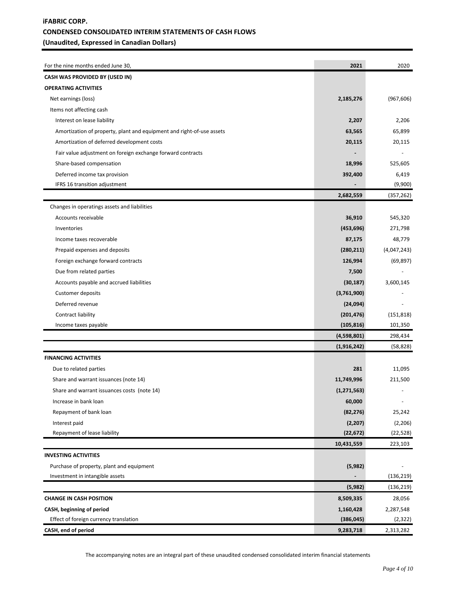## **iFABRIC CORP. CONDENSED CONSOLIDATED INTERIM STATEMENTS OF CASH FLOWS (Unaudited, Expressed in Canadian Dollars)**

| For the nine months ended June 30,                                    | 2021          | 2020        |
|-----------------------------------------------------------------------|---------------|-------------|
| CASH WAS PROVIDED BY (USED IN)                                        |               |             |
| <b>OPERATING ACTIVITIES</b>                                           |               |             |
| Net earnings (loss)                                                   | 2,185,276     | (967, 606)  |
| Items not affecting cash                                              |               |             |
| Interest on lease liability                                           | 2,207         | 2,206       |
| Amortization of property, plant and equipment and right-of-use assets | 63,565        | 65,899      |
| Amortization of deferred development costs                            | 20,115        | 20,115      |
| Fair value adjustment on foreign exchange forward contracts           |               |             |
| Share-based compensation                                              | 18,996        | 525,605     |
| Deferred income tax provision                                         | 392,400       | 6,419       |
| IFRS 16 transition adjustment                                         |               | (9,900)     |
|                                                                       | 2,682,559     | (357, 262)  |
| Changes in operatings assets and liabilities                          |               |             |
| Accounts receivable                                                   | 36,910        | 545,320     |
| Inventories                                                           | (453, 696)    | 271,798     |
| Income taxes recoverable                                              | 87,175        | 48,779      |
| Prepaid expenses and deposits                                         | (280, 211)    | (4,047,243) |
| Foreign exchange forward contracts                                    | 126,994       | (69, 897)   |
| Due from related parties                                              | 7,500         |             |
| Accounts payable and accrued liabilities                              | (30, 187)     | 3,600,145   |
| Customer deposits                                                     | (3,761,900)   |             |
| Deferred revenue                                                      | (24,094)      |             |
| Contract liability                                                    | (201, 476)    | (151, 818)  |
| Income taxes payable                                                  | (105, 816)    | 101,350     |
|                                                                       | (4,598,801)   | 298,434     |
|                                                                       | (1,916,242)   | (58, 828)   |
| <b>FINANCING ACTIVITIES</b>                                           |               |             |
| Due to related parties                                                | 281           | 11,095      |
| Share and warrant issuances (note 14)                                 | 11,749,996    | 211,500     |
| Share and warrant issuances costs (note 14)                           | (1, 271, 563) |             |
| Increase in bank loan                                                 | 60,000        |             |
| Repayment of bank loan                                                | (82, 276)     | 25,242      |
| Interest paid                                                         | (2, 207)      | (2, 206)    |
| Repayment of lease liability                                          | (22, 672)     | (22, 528)   |
|                                                                       | 10,431,559    | 223,103     |
| <b>INVESTING ACTIVITIES</b>                                           |               |             |
| Purchase of property, plant and equipment                             | (5,982)       |             |
| Investment in intangible assets                                       |               | (136, 219)  |
|                                                                       | (5,982)       | (136, 219)  |
| <b>CHANGE IN CASH POSITION</b>                                        | 8,509,335     | 28,056      |
| CASH, beginning of period                                             | 1,160,428     | 2,287,548   |
| Effect of foreign currency translation                                | (386, 045)    | (2, 322)    |
| CASH, end of period                                                   | 9,283,718     | 2,313,282   |

The accompanying notes are an integral part of these unaudited condensed consolidated interim financial statements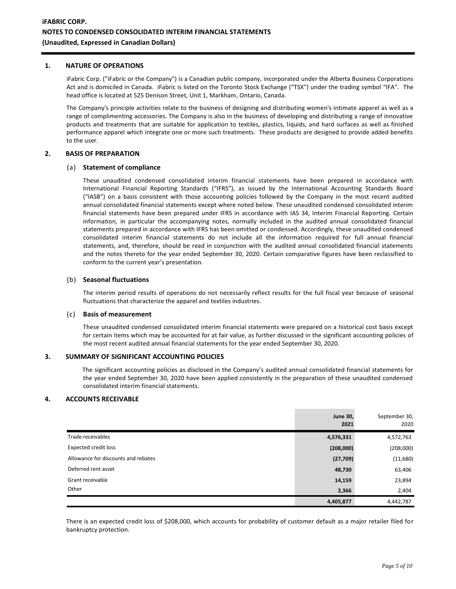## **1. NATURE OF OPERATIONS**

iFabric Corp. ("iFabric or the Company") is a Canadian public company, incorporated under the Alberta Business Corporations Act and is domiciled in Canada. iFabric is listed on the Toronto Stock Exchange ("TSX") under the trading symbol "IFA". The head office is located at 525 Denison Street, Unit 1, Markham, Ontario, Canada.

The Company's principle activities relate to the business of designing and distributing women's intimate apparel as well as a range of complimenting accessories. The Company is also in the business of developing and distributing a range of innovative products and treatments that are suitable for application to textiles, plastics, liquids, and hard surfaces as well as finished performance apparel which integrate one or more such treatments. These products are designed to provide added benefits to the user.

#### **2. BASIS OF PREPARATION**

#### (a) **Statement of compliance**

These unaudited condensed consolidated interim financial statements have been prepared in accordance with International Financial Reporting Standards ("IFRS"), as issued by the International Accounting Standards Board ("IASB") on a basis consistent with those accounting policies followed by the Company in the most recent audited annual consolidated financial statements except where noted below. These unaudited condensed consolidated interim financial statements have been prepared under IFRS in accordance with IAS 34, Interim Financial Reporting. Certain information, in particular the accompanying notes, normally included in the audited annual consolidated financial statements prepared in accordance with IFRS has been omitted or condensed. Accordingly, these unaudited condensed consolidated interim financial statements do not include all the information required for full annual financial statements, and, therefore, should be read in conjunction with the audited annual consolidated financial statements and the notes thereto for the year ended September 30, 2020. Certain comparative figures have been reclassified to conform to the current year's presentation.

#### (b) **Seasonal fluctuations**

The interim period results of operations do not necessarily reflect results for the full fiscal year because of seasonal fluctuations that characterize the apparel and textiles industries.

#### (c) **Basis of measurement**

These unaudited condensed consolidated interim financial statements were prepared on a historical cost basis except for certain items which may be accounted for at fair value, as further discussed in the significant accounting policies of the most recent audited annual financial statements for the year ended September 30, 2020.

#### **3. SUMMARY OF SIGNIFICANT ACCOUNTING POLICIES**

The significant accounting policies as disclosed in the Company's audited annual consolidated financial statements for the year ended September 30, 2020 have been applied consistently in the preparation of these unaudited condensed consolidated interim financial statements.

#### **4. ACCOUNTS RECEIVABLE**

|                                     | <b>June 30,</b><br>2021 | September 30,<br>2020 |
|-------------------------------------|-------------------------|-----------------------|
| Trade receivables                   | 4,576,331               | 4,572,763             |
| Expected credit loss                | (208,000)               | (208,000)             |
| Allowance for discounts and rebates | (27, 709)               | (11,680)              |
| Deferred rent asset                 | 48,730                  | 63,406                |
| Grant receivable                    | 14,159                  | 23,894                |
| Other                               | 2,366                   | 2,404                 |
|                                     | 4,405,877               | 4,442,787             |

There is an expected credit loss of \$208,000, which accounts for probability of customer default as a major retailer filed for bankruptcy protection.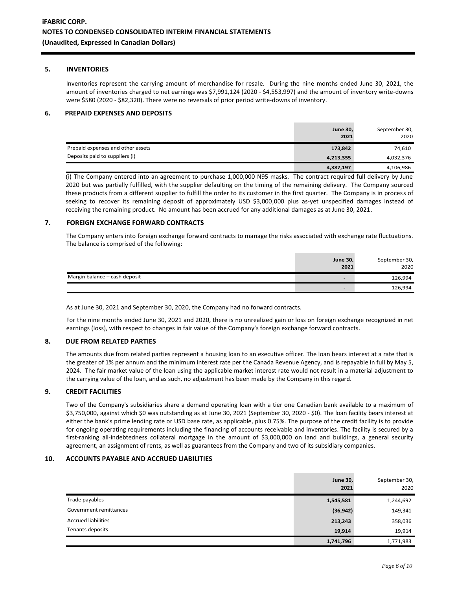#### **5. INVENTORIES**

Inventories represent the carrying amount of merchandise for resale. During the nine months ended June 30, 2021, the amount of inventories charged to net earnings was \$7,991,124 (2020 - \$4,553,997) and the amount of inventory write-downs were \$580 (2020 - \$82,320). There were no reversals of prior period write-downs of inventory.

#### **6. PREPAID EXPENSES AND DEPOSITS**

|                                   | <b>June 30,</b><br>2021 | September 30,<br>2020 |
|-----------------------------------|-------------------------|-----------------------|
| Prepaid expenses and other assets | 173,842                 | 74,610                |
| Deposits paid to suppliers (i)    | 4,213,355               | 4,032,376             |
|                                   | 4,387,197               | 4,106,986             |

(i) The Company entered into an agreement to purchase 1,000,000 N95 masks. The contract required full delivery by June 2020 but was partially fulfilled, with the supplier defaulting on the timing of the remaining delivery. The Company sourced these products from a different supplier to fulfill the order to its customer in the first quarter. The Company is in process of seeking to recover its remaining deposit of approximately USD \$3,000,000 plus as-yet unspecified damages instead of receiving the remaining product. No amount has been accrued for any additional damages as at June 30, 2021.

#### **7. FOREIGN EXCHANGE FORWARD CONTRACTS**

The Company enters into foreign exchange forward contracts to manage the risks associated with exchange rate fluctuations. The balance is comprised of the following:

|                               | <b>June 30,</b><br>2021  | September 30,<br>2020 |
|-------------------------------|--------------------------|-----------------------|
| Margin balance - cash deposit | $\overline{\phantom{0}}$ | 126,994               |
|                               |                          | 126,994               |

As at June 30, 2021 and September 30, 2020, the Company had no forward contracts.

For the nine months ended June 30, 2021 and 2020, there is no unrealized gain or loss on foreign exchange recognized in net earnings (loss), with respect to changes in fair value of the Company's foreign exchange forward contracts.

#### **8. DUE FROM RELATED PARTIES**

The amounts due from related parties represent a housing loan to an executive officer. The loan bears interest at a rate that is the greater of 1% per annum and the minimum interest rate per the Canada Revenue Agency, and is repayable in full by May 5, 2024. The fair market value of the loan using the applicable market interest rate would not result in a material adjustment to the carrying value of the loan, and as such, no adjustment has been made by the Company in this regard.

## **9. CREDIT FACILITIES**

Two of the Company's subsidiaries share a demand operating loan with a tier one Canadian bank available to a maximum of \$3,750,000, against which \$0 was outstanding as at June 30, 2021 (September 30, 2020 - \$0). The loan facility bears interest at either the bank's prime lending rate or USD base rate, as applicable, plus 0.75%. The purpose of the credit facility is to provide for ongoing operating requirements including the financing of accounts receivable and inventories. The facility is secured by a first-ranking all-indebtedness collateral mortgage in the amount of \$3,000,000 on land and buildings, a general security agreement, an assignment of rents, as well as guarantees from the Company and two of its subsidiary companies.

#### **10. ACCOUNTS PAYABLE AND ACCRUED LIABILITIES**

|                            | <b>June 30,</b><br>2021 | September 30,<br>2020 |
|----------------------------|-------------------------|-----------------------|
| Trade payables             | 1,545,581               | 1,244,692             |
| Government remittances     | (36, 942)               | 149,341               |
| <b>Accrued liabilities</b> | 213,243                 | 358,036               |
| Tenants deposits           | 19,914                  | 19,914                |
|                            | 1,741,796               | 1,771,983             |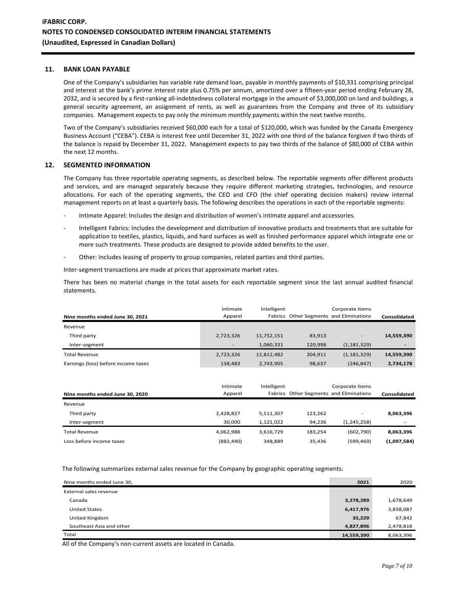### **11. BANK LOAN PAYABLE**

One of the Company's subsidiaries has variable rate demand loan, payable in monthly payments of \$10,331 comprising principal and interest at the bank's prime interest rate plus 0.75% per annum, amortized over a fifteen-year period ending February 28, 2032, and is secured by a first-ranking all-indebtedness collateral mortgage in the amount of \$3,000,000 on land and buildings, a general security agreement, an assignment of rents, as well as guarantees from the Company and three of its subsidiary companies. Management expects to pay only the minimum monthly payments within the next twelve months.

Two of the Company's subsidiaries received \$60,000 each for a total of \$120,000, which was funded by the Canada Emergency Business Account ("CEBA"). CEBA is interest free until December 31, 2022 with one third of the balance forgiven if two thirds of the balance is repaid by December 31, 2022. Management expects to pay two thirds of the balance of \$80,000 of CEBA within the next 12 months.

### **12. SEGMENTED INFORMATION**

The Company has three reportable operating segments, as described below. The reportable segments offer different products and services, and are managed separately because they require different marketing strategies, technologies, and resource allocations. For each of the operating segments, the CEO and CFO (the chief operating decision makers) review internal management reports on at least a quarterly basis. The following describes the operations in each of the reportable segments:

- Intimate Apparel: Includes the design and distribution of women's intimate apparel and accessories.
- Intelligent Fabrics: Includes the development and distribution of innovative products and treatments that are suitable for application to textiles, plastics, liquids, and hard surfaces as well as finished performance apparel which integrate one or more such treatments. These products are designed to provide added benefits to the user.
- Other: Includes leasing of property to group companies, related parties and third parties.

Inter-segment transactions are made at prices that approximate market rates.

There has been no material change in the total assets for each reportable segment since the last annual audited financial statements.

| Nine months ended June 30, 2021     | Intimate<br>Apparel      | Intelligent |         | Corporate Items<br>Fabrics Other Segments and Eliminations | Consolidated |
|-------------------------------------|--------------------------|-------------|---------|------------------------------------------------------------|--------------|
| Revenue                             |                          |             |         |                                                            |              |
| Third party                         | 2,723,326                | 11,752,151  | 83,913  | $\overline{\phantom{a}}$                                   | 14,559,390   |
| Inter-segment                       | $\overline{\phantom{a}}$ | 1,060,331   | 120,998 | (1, 181, 329)                                              |              |
| <b>Total Revenue</b>                | 2,723,326                | 12,812,482  | 204,911 | (1, 181, 329)                                              | 14,559,390   |
| Earnings (loss) before income taxes | 138,483                  | 2,743,905   | 98,637  | (246, 847)                                                 | 2,734,178    |

| Nine months ended June 30, 2020 | Intimate<br>Apparel | Intelligent |         | Corporate Items<br>Fabrics Other Segments and Eliminations | Consolidated             |
|---------------------------------|---------------------|-------------|---------|------------------------------------------------------------|--------------------------|
| Revenue                         |                     |             |         |                                                            |                          |
| Third party                     | 2,428,827           | 5,511,307   | 123.262 | $\overline{\phantom{a}}$                                   | 8,063,396                |
| Inter-segment                   | 30.000              | 1,121,022   | 94.236  | (1, 245, 258)                                              | $\overline{\phantom{0}}$ |
| Total Revenue                   | 4.062.988           | 3,616,729   | 183.254 | (602, 790)                                                 | 8,063,396                |
| Loss before income taxes        | (882, 440)          | 348,889     | 35,436  | (599,469)                                                  | (1,097,584)              |

The following summarizes external sales revenue for the Company by geographic operating segments:

| Nine months ended June 30, | 2021       | 2020      |
|----------------------------|------------|-----------|
| External sales revenue     |            |           |
| Canada                     | 3,278,289  | 1,678,649 |
| <b>United States</b>       | 6,417,976  | 3,838,087 |
| United Kingdom             | 35,229     | 67,842    |
| Southeast Asia and other   | 4,827,896  | 2,478,818 |
| Total                      | 14,559,390 | 8,063,396 |

All of the Company's non-current assets are located in Canada.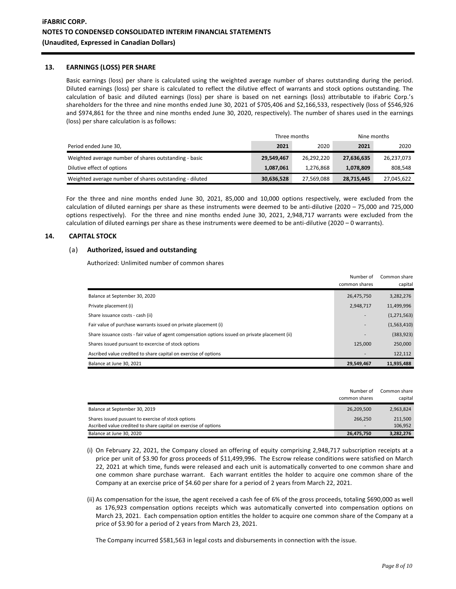#### **13. EARNINGS (LOSS) PER SHARE**

Basic earnings (loss) per share is calculated using the weighted average number of shares outstanding during the period. Diluted earnings (loss) per share is calculated to reflect the dilutive effect of warrants and stock options outstanding. The calculation of basic and diluted earnings (loss) per share is based on net earnings (loss) attributable to iFabric Corp.'s shareholders for the three and nine months ended June 30, 2021 of \$705,406 and \$2,166,533, respectively (loss of \$546,926 and \$974,861 for the three and nine months ended June 30, 2020, respectively). The number of shares used in the earnings (loss) per share calculation is as follows:

|                                                         | Three months |            | Nine months |            |
|---------------------------------------------------------|--------------|------------|-------------|------------|
| Period ended June 30,                                   | 2021         | 2020       | 2021        | 2020       |
| Weighted average number of shares outstanding - basic   | 29,549,467   | 26,292,220 | 27,636,635  | 26,237,073 |
| Dilutive effect of options                              | 1,087,061    | 1,276,868  | 1,078,809   | 808,548    |
| Weighted average number of shares outstanding - diluted | 30,636,528   | 27,569,088 | 28,715,445  | 27,045,622 |

For the three and nine months ended June 30, 2021, 85,000 and 10,000 options respectively, were excluded from the calculation of diluted earnings per share as these instruments were deemed to be anti-dilutive (2020 – 75,000 and 725,000 options respectively). For the three and nine months ended June 30, 2021, 2,948,717 warrants were excluded from the calculation of diluted earnings per share as these instruments were deemed to be anti-dilutive (2020 – 0 warrants).

## **14. CAPITAL STOCK**

## (a) **Authorized, issued and outstanding**

Authorized: Unlimited number of common shares

|                                                                                                  | Number of<br>common shares | Common share<br>capital |
|--------------------------------------------------------------------------------------------------|----------------------------|-------------------------|
| Balance at September 30, 2020                                                                    | 26,475,750                 | 3,282,276               |
| Private placement (i)                                                                            | 2,948,717                  | 11,499,996              |
| Share issuance costs - cash (ii)                                                                 | $\overline{\phantom{a}}$   | (1, 271, 563)           |
| Fair value of purchase warrants issued on private placement (i)                                  | ۰                          | (1,563,410)             |
| Share issuance costs - fair value of agent compensation options issued on private placement (ii) |                            | (383, 923)              |
| Shares issued pursuant to excercise of stock options                                             | 125.000                    | 250,000                 |
| Ascribed value credited to share capital on exercise of options                                  |                            | 122,112                 |
| Balance at June 30, 2021                                                                         | 29.549.467                 | 11,935,488              |

|                                                                 | Number of<br>common shares | Common share<br>capital |
|-----------------------------------------------------------------|----------------------------|-------------------------|
| Balance at September 30, 2019                                   | 26,209,500                 | 2,963,824               |
| Shares issued pusuant to exercise of stock options              | 266.250                    | 211,500                 |
| Ascribed value credited to share capital on exercise of options | $\overline{\phantom{a}}$   | 106.952                 |
| Balance at June 30, 2020                                        | 26,475,750                 | 3,282,276               |

- (i) On February 22, 2021, the Company closed an offering of equity comprising 2,948,717 subscription receipts at a price per unit of \$3.90 for gross proceeds of \$11,499,996. The Escrow release conditions were satisfied on March 22, 2021 at which time, funds were released and each unit is automatically converted to one common share and one common share purchase warrant. Each warrant entitles the holder to acquire one common share of the Company at an exercise price of \$4.60 per share for a period of 2 years from March 22, 2021.
- (ii) As compensation for the issue, the agent received a cash fee of 6% of the gross proceeds, totaling \$690,000 as well as 176,923 compensation options receipts which was automatically converted into compensation options on March 23, 2021. Each compensation option entitles the holder to acquire one common share of the Company at a price of \$3.90 for a period of 2 years from March 23, 2021.

The Company incurred \$581,563 in legal costs and disbursements in connection with the issue.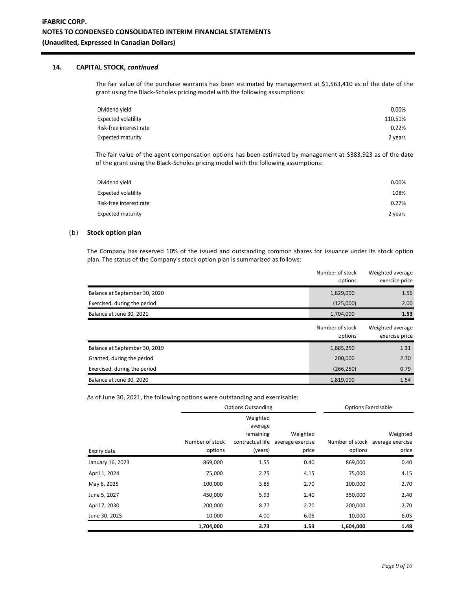## **14. CAPITAL STOCK,** *continued*

The fair value of the purchase warrants has been estimated by management at \$1,563,410 as of the date of the grant using the Black-Scholes pricing model with the following assumptions:

| Dividend yield          | $0.00\%$ |
|-------------------------|----------|
| Expected volatility     | 110.51%  |
| Risk-free interest rate | 0.22%    |
| Expected maturity       | 2 years  |

The fair value of the agent compensation options has been estimated by management at \$383,923 as of the date of the grant using the Black-Scholes pricing model with the following assumptions:

| Dividend yield             | 0.00%   |
|----------------------------|---------|
| <b>Expected volatility</b> | 108%    |
| Risk-free interest rate    | 0.27%   |
| <b>Expected maturity</b>   | 2 years |

## (b) **Stock option plan**

The Company has reserved 10% of the issued and outstanding common shares for issuance under its stock option plan. The status of the Company's stock option plan is summarized as follows:

|                               | Number of stock<br>options | Weighted average<br>exercise price |
|-------------------------------|----------------------------|------------------------------------|
| Balance at September 30, 2020 | 1,829,000                  | 1.56                               |
| Exercised, during the period  | (125,000)                  | 2.00                               |
| Balance at June 30, 2021      | 1,704,000                  | 1.53                               |
|                               | Number of stock<br>options | Weighted average<br>exercise price |
| Balance at September 30, 2019 | 1,885,250                  | 1.31                               |
| Granted, during the period    | 200,000                    | 2.70                               |
| Exercised, during the period  | (266, 250)                 | 0.79                               |
| Balance at June 30, 2020      | 1,819,000                  | 1.54                               |

As of June 30, 2021, the following options were outstanding and exercisable:

|                  |                 | <b>Options Outsanding</b> |                  | <b>Options Exercisable</b> |                                  |
|------------------|-----------------|---------------------------|------------------|----------------------------|----------------------------------|
|                  |                 | Weighted                  |                  |                            |                                  |
|                  |                 | average                   |                  |                            |                                  |
|                  |                 | remaining                 | Weighted         |                            | Weighted                         |
|                  | Number of stock | contractual life          | average exercise |                            | Number of stock average exercise |
| Expiry date      | options         | (years)                   | price            | options                    | price                            |
| January 16, 2023 | 869,000         | 1.55                      | 0.40             | 869,000                    | 0.40                             |
| April 1, 2024    | 75,000          | 2.75                      | 4.15             | 75,000                     | 4.15                             |
| May 6, 2025      | 100,000         | 3.85                      | 2.70             | 100,000                    | 2.70                             |
| June 5, 2027     | 450,000         | 5.93                      | 2.40             | 350,000                    | 2.40                             |
| April 7, 2030    | 200,000         | 8.77                      | 2.70             | 200,000                    | 2.70                             |
| June 30, 2025    | 10,000          | 4.00                      | 6.05             | 10,000                     | 6.05                             |
|                  | 1,704,000       | 3.73                      | 1.53             | 1,604,000                  | 1.48                             |